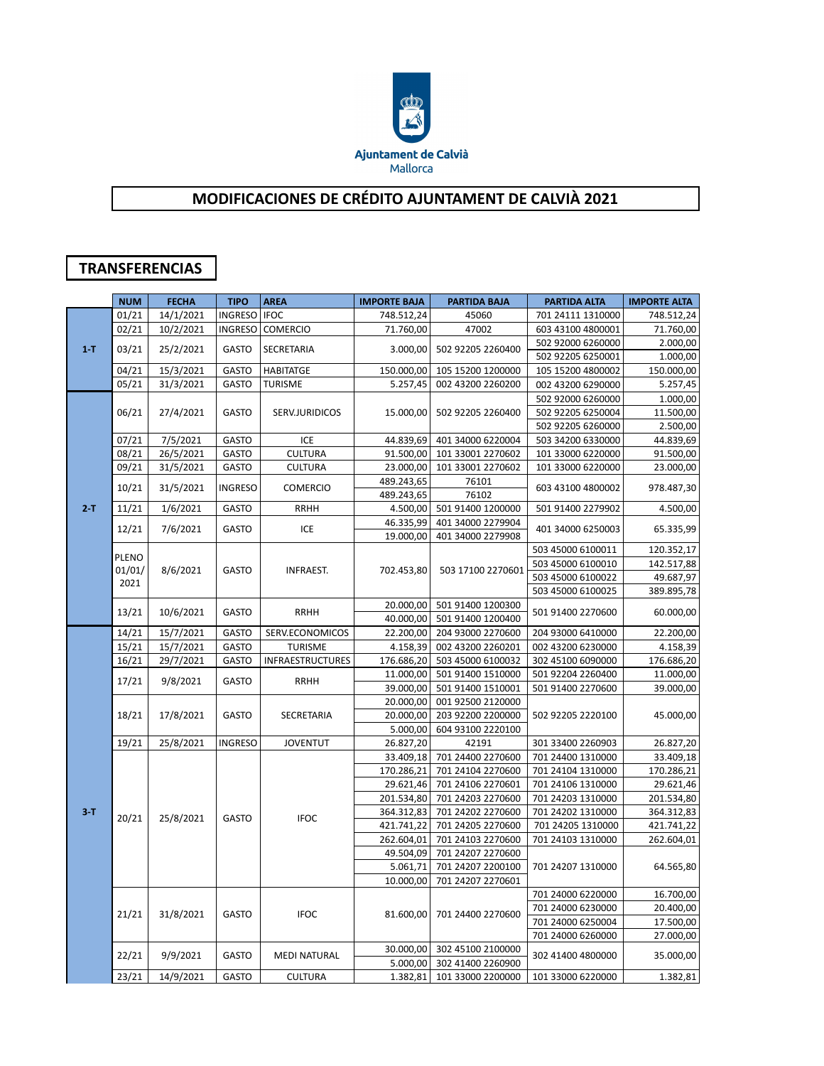

## **MODIFICACIONES DE CRÉDITO AJUNTAMENT DE CALVIÀ 2021**

## **TRANSFERENCIAS**

|         | <b>NUM</b> | <b>FECHA</b> | <b>TIPO</b>    | <b>AREA</b>             | <b>IMPORTE BAJA</b> | <b>PARTIDA BAJA</b> | PARTIDA ALTA      | <b>IMPORTE ALTA</b> |
|---------|------------|--------------|----------------|-------------------------|---------------------|---------------------|-------------------|---------------------|
| $1 - T$ | 01/21      | 14/1/2021    | INGRESO   IFOC |                         | 748.512,24          | 45060               | 701 24111 1310000 | 748.512,24          |
|         | 02/21      | 10/2/2021    |                | INGRESO COMERCIO        | 71.760,00           | 47002               | 603 43100 4800001 | 71.760,00           |
|         | 03/21      |              |                |                         |                     |                     | 502 92000 6260000 | 2.000,00            |
|         |            | 25/2/2021    | GASTO          | <b>SECRETARIA</b>       | 3.000,00            | 502 92205 2260400   | 502 92205 6250001 | 1.000,00            |
|         | 04/21      | 15/3/2021    | GASTO          | <b>HABITATGE</b>        | 150.000,00          | 105 15200 1200000   | 105 15200 4800002 | 150.000,00          |
|         | 05/21      | 31/3/2021    | <b>GASTO</b>   | <b>TURISME</b>          | 5.257,45            | 002 43200 2260200   | 002 43200 6290000 | 5.257,45            |
|         | 06/21      |              | <b>GASTO</b>   |                         | 15.000,00           |                     | 502 92000 6260000 | 1.000,00            |
|         |            | 27/4/2021    |                | SERV.JURIDICOS          |                     | 502 92205 2260400   | 502 92205 6250004 | 11.500,00           |
|         |            |              |                |                         |                     |                     | 502 92205 6260000 | 2.500,00            |
|         | 07/21      | 7/5/2021     | <b>GASTO</b>   | ICE                     | 44.839,69           | 401 34000 6220004   | 503 34200 6330000 | 44.839,69           |
|         | 08/21      | 26/5/2021    | GASTO          | <b>CULTURA</b>          | 91.500,00           | 101 33001 2270602   | 101 33000 6220000 | 91.500,00           |
|         | 09/21      | 31/5/2021    | GASTO          | <b>CULTURA</b>          | 23.000,00           | 101 33001 2270602   | 101 33000 6220000 | 23.000,00           |
|         |            |              |                |                         | 489.243,65          | 76101               |                   |                     |
|         | 10/21      | 31/5/2021    | <b>INGRESO</b> | <b>COMERCIO</b>         | 489.243,65          | 76102               | 603 43100 4800002 | 978.487,30          |
| $2-T$   | 11/21      | 1/6/2021     | <b>GASTO</b>   | <b>RRHH</b>             | 4.500,00            | 501 91400 1200000   | 501 91400 2279902 | 4.500,00            |
|         |            |              |                |                         | 46.335,99           | 401 34000 2279904   |                   |                     |
|         | 12/21      | 7/6/2021     | <b>GASTO</b>   | ICE                     | 19.000,00           | 401 34000 2279908   | 401 34000 6250003 | 65.335,99           |
|         |            |              |                |                         |                     |                     | 503 45000 6100011 | 120.352,17          |
|         | PLENO      |              |                |                         |                     |                     | 503 45000 6100010 | 142.517,88          |
|         | 01/01/     | 8/6/2021     | <b>GASTO</b>   | <b>INFRAEST.</b>        | 702.453,80          | 503 17100 2270601   | 503 45000 6100022 | 49.687,97           |
|         | 2021       |              |                |                         |                     |                     | 503 45000 6100025 | 389.895,78          |
|         | 13/21      | 10/6/2021    | GASTO          | <b>RRHH</b>             | 20.000,00           | 501 91400 1200300   | 501 91400 2270600 | 60.000,00           |
|         |            |              |                |                         | 40.000,00           | 501 91400 1200400   |                   |                     |
|         | 14/21      | 15/7/2021    | GASTO          | SERV.ECONOMICOS         | 22.200,00           | 204 93000 2270600   | 204 93000 6410000 | 22.200,00           |
|         | 15/21      | 15/7/2021    | GASTO          | <b>TURISME</b>          | 4.158,39            | 002 43200 2260201   | 002 43200 6230000 | 4.158,39            |
|         | 16/21      | 29/7/2021    | GASTO          | <b>INFRAESTRUCTURES</b> | 176.686,20          | 503 45000 6100032   | 302 45100 6090000 | 176.686,20          |
|         |            | 9/8/2021     | GASTO          | <b>RRHH</b>             | 11.000,00           | 501 91400 1510000   | 501 92204 2260400 | 11.000,00           |
|         | 17/21      |              |                |                         | 39.000,00           | 501 91400 1510001   | 501 91400 2270600 | 39.000,00           |
|         |            | 17/8/2021    | GASTO          | SECRETARIA              | 20.000,00           | 001 92500 2120000   | 502 92205 2220100 | 45.000,00           |
|         | 18/21      |              |                |                         | 20.000,00           | 203 92200 2200000   |                   |                     |
|         |            |              |                |                         | 5.000,00            | 604 93100 2220100   |                   |                     |
|         | 19/21      | 25/8/2021    | <b>INGRESO</b> | <b>JOVENTUT</b>         | 26.827,20           | 42191               | 301 33400 2260903 | 26.827,20           |
|         |            |              |                |                         | 33.409,18           | 701 24400 2270600   | 701 24400 1310000 | 33.409,18           |
|         | 20/21      | 25/8/2021    | <b>GASTO</b>   |                         | 170.286,21          | 701 24104 2270600   | 701 24104 1310000 | 170.286,21          |
|         |            |              |                |                         | 29.621,46           | 701 24106 2270601   | 701 24106 1310000 | 29.621,46           |
|         |            |              |                |                         | 201.534,80          | 701 24203 2270600   | 701 24203 1310000 | 201.534,80          |
| $3 - T$ |            |              |                |                         | 364.312,83          | 701 24202 2270600   | 701 24202 1310000 | 364.312,83          |
|         |            |              |                | <b>IFOC</b>             | 421.741,22          | 701 24205 2270600   | 701 24205 1310000 | 421.741,22          |
|         |            |              |                |                         | 262.604,01          | 701 24103 2270600   | 701 24103 1310000 | 262.604,01          |
|         |            |              |                |                         | 49.504,09           | 701 24207 2270600   | 701 24207 1310000 | 64.565,80           |
|         |            |              |                |                         | 5.061,71            | 701 24207 2200100   |                   |                     |
|         |            |              |                |                         | 10.000,00           | 701 24207 2270601   |                   |                     |
|         | 21/21      | 31/8/2021    | <b>GASTO</b>   | <b>IFOC</b>             | 81.600,00           | 701 24400 2270600   | 701 24000 6220000 | 16.700,00           |
|         |            |              |                |                         |                     |                     | 701 24000 6230000 | 20.400,00           |
|         |            |              |                |                         |                     |                     | 701 24000 6250004 | 17.500,00           |
|         |            |              |                |                         |                     |                     | 701 24000 6260000 | 27.000,00           |
|         | 22/21      | 9/9/2021     | <b>GASTO</b>   | <b>MEDI NATURAL</b>     | 30.000,00           | 302 45100 2100000   |                   |                     |
|         |            |              |                |                         | 5.000,00            | 302 41400 2260900   | 302 41400 4800000 | 35.000,00           |
|         | 23/21      | 14/9/2021    | <b>GASTO</b>   | <b>CULTURA</b>          | 1.382,81            | 101 33000 2200000   | 101 33000 6220000 | 1.382,81            |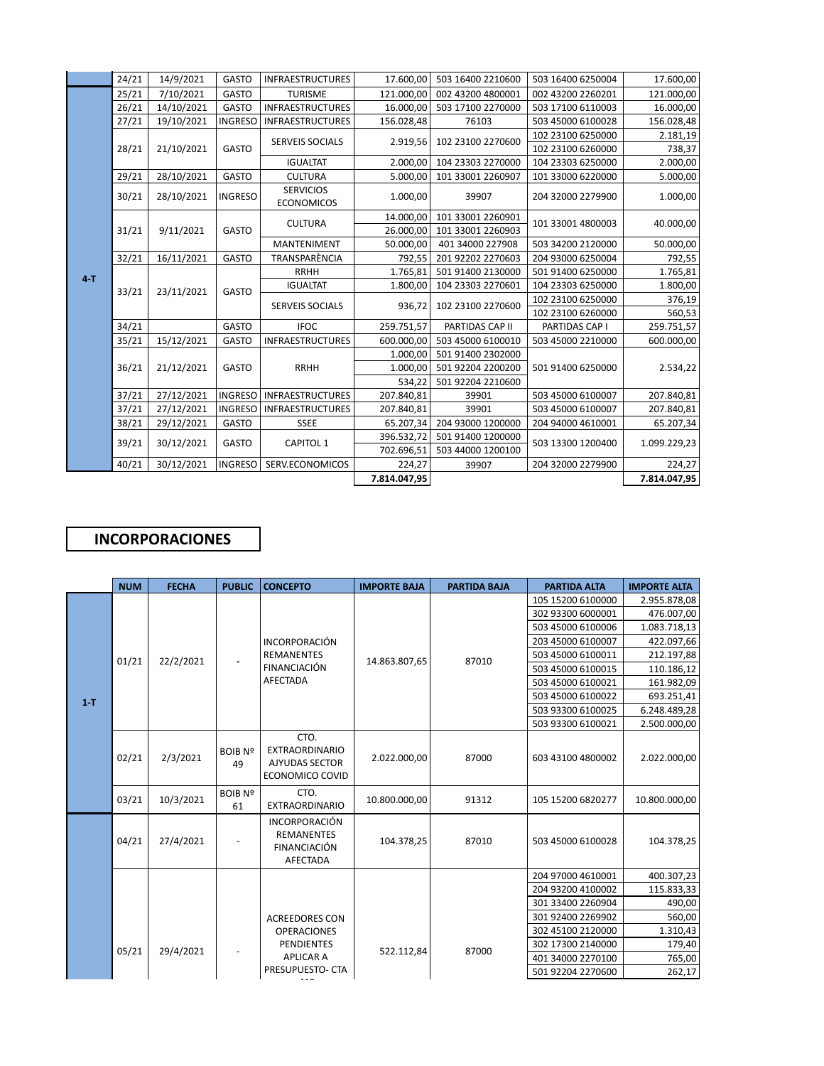|         | 24/21 | 14/9/2021  | <b>GASTO</b>   | <b>INFRAESTRUCTURES</b>               | 17.600,00    | 503 16400 2210600 | 503 16400 6250004 | 17.600,00    |
|---------|-------|------------|----------------|---------------------------------------|--------------|-------------------|-------------------|--------------|
|         | 25/21 | 7/10/2021  | <b>GASTO</b>   | <b>TURISME</b>                        | 121.000,00   | 002 43200 4800001 | 002 43200 2260201 | 121.000,00   |
|         | 26/21 | 14/10/2021 | <b>GASTO</b>   | <b>INFRAESTRUCTURES</b>               | 16.000,00    | 503 17100 2270000 | 503 17100 6110003 | 16.000,00    |
|         | 27/21 | 19/10/2021 | <b>INGRESO</b> | <b>INFRAESTRUCTURES</b>               | 156.028,48   | 76103             | 503 45000 6100028 | 156.028,48   |
|         | 28/21 | 21/10/2021 | GASTO          | <b>SERVEIS SOCIALS</b>                | 2.919,56     | 102 23100 2270600 | 102 23100 6250000 | 2.181,19     |
|         |       |            |                |                                       |              |                   | 102 23100 6260000 | 738,37       |
|         |       |            |                | <b>IGUALTAT</b>                       | 2.000,00     | 104 23303 2270000 | 104 23303 6250000 | 2.000,00     |
|         | 29/21 | 28/10/2021 | <b>GASTO</b>   | <b>CULTURA</b>                        | 5.000,00     | 101 33001 2260907 | 101 33000 6220000 | 5.000,00     |
|         | 30/21 | 28/10/2021 | <b>INGRESO</b> | <b>SERVICIOS</b><br><b>ECONOMICOS</b> | 1.000,00     | 39907             | 204 32000 2279900 | 1.000,00     |
|         | 31/21 | 9/11/2021  | GASTO          | <b>CULTURA</b>                        | 14.000,00    | 101 33001 2260901 | 101 33001 4800003 | 40.000,00    |
|         |       |            |                |                                       | 26.000,00    | 101 33001 2260903 |                   |              |
|         |       |            |                | <b>MANTENIMENT</b>                    | 50.000,00    | 401 34000 227908  | 503 34200 2120000 | 50.000,00    |
|         | 32/21 | 16/11/2021 | <b>GASTO</b>   | TRANSPARÈNCIA                         | 792,55       | 201 92202 2270603 | 204 93000 6250004 | 792,55       |
| $4 - T$ | 33/21 | 23/11/2021 | <b>GASTO</b>   | <b>RRHH</b>                           | 1.765,81     | 501 91400 2130000 | 501 91400 6250000 | 1.765,81     |
|         |       |            |                | <b>IGUALTAT</b>                       | 1.800,00     | 104 23303 2270601 | 104 23303 6250000 | 1.800,00     |
|         |       |            |                | <b>SERVEIS SOCIALS</b>                | 936,72       | 102 23100 2270600 | 102 23100 6250000 | 376,19       |
|         |       |            |                |                                       |              |                   | 102 23100 6260000 | 560,53       |
|         | 34/21 |            | GASTO          | <b>IFOC</b>                           | 259.751,57   | PARTIDAS CAP II   | PARTIDAS CAP I    | 259.751,57   |
|         | 35/21 | 15/12/2021 | <b>GASTO</b>   | <b>INFRAESTRUCTURES</b>               | 600.000,00   | 503 45000 6100010 | 503 45000 2210000 | 600.000,00   |
|         |       | 21/12/2021 | <b>GASTO</b>   | <b>RRHH</b>                           | 1.000,00     | 501 91400 2302000 | 501 91400 6250000 | 2.534,22     |
|         | 36/21 |            |                |                                       | 1.000,00     | 501 92204 2200200 |                   |              |
|         |       |            |                |                                       | 534,22       | 501 92204 2210600 |                   |              |
|         | 37/21 | 27/12/2021 | <b>INGRESO</b> | <b>INFRAESTRUCTURES</b>               | 207.840,81   | 39901             | 503 45000 6100007 | 207.840,81   |
|         | 37/21 | 27/12/2021 | <b>INGRESO</b> | <b>INFRAESTRUCTURES</b>               | 207.840,81   | 39901             | 503 45000 6100007 | 207.840,81   |
|         | 38/21 | 29/12/2021 | GASTO          | SSEE                                  | 65.207,34    | 204 93000 1200000 | 204 94000 4610001 | 65.207,34    |
|         | 39/21 | 30/12/2021 | GASTO          | <b>CAPITOL 1</b>                      | 396.532,72   | 501 91400 1200000 | 503 13300 1200400 | 1.099.229,23 |
|         |       |            |                |                                       | 702.696,51   | 503 44000 1200100 |                   |              |
|         | 40/21 | 30/12/2021 | <b>INGRESO</b> | SERV.ECONOMICOS                       | 224,27       | 39907             | 204 32000 2279900 | 224,27       |
|         |       |            |                |                                       | 7.814.047,95 |                   |                   | 7.814.047,95 |

## **INCORPORACIONES**

|         | <b>NUM</b> | <b>FECHA</b> | <b>PUBLIC</b>        | <b>CONCEPTO</b>                                                              | <b>IMPORTE BAJA</b> | <b>PARTIDA BAJA</b> | <b>PARTIDA ALTA</b> | <b>IMPORTE ALTA</b> |
|---------|------------|--------------|----------------------|------------------------------------------------------------------------------|---------------------|---------------------|---------------------|---------------------|
|         |            |              |                      |                                                                              |                     |                     | 105 15200 6100000   | 2.955.878,08        |
|         |            |              |                      |                                                                              |                     |                     | 302 93300 6000001   | 476.007,00          |
|         |            |              |                      |                                                                              |                     |                     | 503 45000 6100006   | 1.083.718,13        |
|         | 01/21      | 22/2/2021    |                      | <b>INCORPORACIÓN</b><br><b>REMANENTES</b><br><b>FINANCIACIÓN</b><br>AFECTADA | 14.863.807,65       | 87010               | 203 45000 6100007   | 422.097,66          |
|         |            |              |                      |                                                                              |                     |                     | 503 45000 6100011   | 212.197,88          |
|         |            |              |                      |                                                                              |                     |                     | 503 45000 6100015   | 110.186,12          |
|         |            |              |                      |                                                                              |                     |                     | 503 45000 6100021   | 161.982,09          |
| $1 - T$ |            |              |                      |                                                                              |                     |                     | 503 45000 6100022   | 693.251,41          |
|         |            |              |                      |                                                                              |                     |                     | 503 93300 6100025   | 6.248.489,28        |
|         |            |              |                      |                                                                              |                     |                     | 503 93300 6100021   | 2.500.000,00        |
|         | 02/21      | 2/3/2021     | <b>BOIB Nº</b><br>49 | CTO.<br><b>EXTRAORDINARIO</b><br><b>AJYUDAS SECTOR</b><br>ECONOMICO COVID    | 2.022.000,00        | 87000               | 603 43100 4800002   | 2.022.000,00        |
|         | 03/21      | 10/3/2021    | <b>BOIB Nº</b><br>61 | CTO.<br><b>EXTRAORDINARIO</b>                                                | 10.800.000,00       | 91312               | 105 15200 6820277   | 10.800.000,00       |
|         | 04/21      | 27/4/2021    |                      | <b>INCORPORACIÓN</b><br><b>REMANENTES</b><br><b>FINANCIACIÓN</b><br>AFECTADA | 104.378,25          | 87010               | 503 45000 6100028   | 104.378,25          |
|         |            |              |                      |                                                                              |                     |                     | 204 97000 4610001   | 400.307,23          |
|         |            |              |                      |                                                                              |                     |                     | 204 93200 4100002   | 115.833,33          |
|         |            |              |                      |                                                                              |                     |                     | 301 33400 2260904   | 490,00              |
|         |            |              |                      | <b>ACREEDORES CON</b>                                                        |                     |                     | 301 92400 2269902   | 560,00              |
|         | 05/21      | 29/4/2021    |                      | <b>OPERACIONES</b>                                                           |                     | 87000               | 302 45100 2120000   | 1.310,43            |
|         |            |              |                      | <b>PENDIENTES</b>                                                            | 522.112,84          |                     | 302 17300 2140000   | 179,40              |
|         |            |              |                      | <b>APLICAR A</b>                                                             |                     |                     | 401 34000 2270100   | 765,00              |
|         |            |              |                      | PRESUPUESTO- CTA                                                             |                     |                     | 501 92204 2270600   | 262,17              |